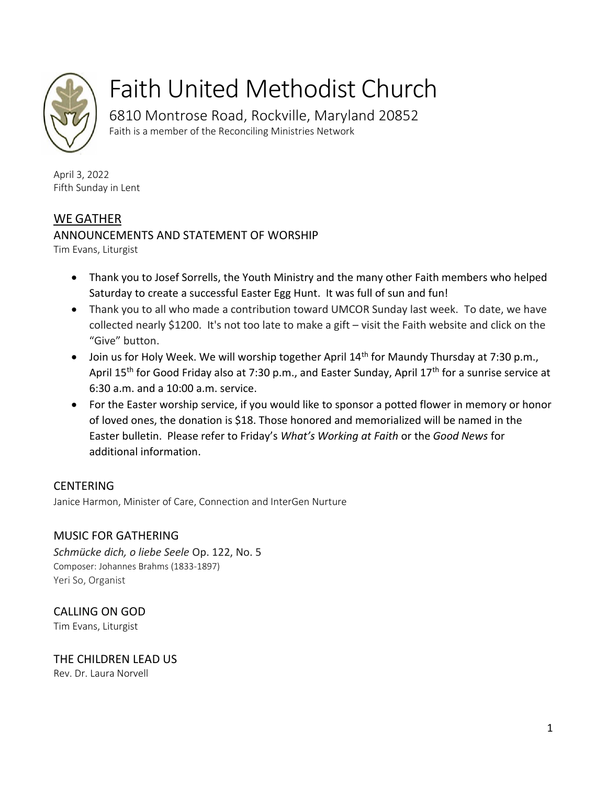

# Faith United Methodist Church

6810 Montrose Road, Rockville, Maryland 20852 Faith is a member of the Reconciling Ministries Network

April 3, 2022 Fifth Sunday in Lent

# WE GATHER

# ANNOUNCEMENTS AND STATEMENT OF WORSHIP

Tim Evans, Liturgist

- Thank you to Josef Sorrells, the Youth Ministry and the many other Faith members who helped Saturday to create a successful Easter Egg Hunt. It was full of sun and fun!
- Thank you to all who made a contribution toward UMCOR Sunday last week. To date, we have collected nearly \$1200. It's not too late to make a gift – visit the Faith website and click on the "Give" button.
- Join us for Holy Week. We will worship together April  $14<sup>th</sup>$  for Maundy Thursday at 7:30 p.m., April 15<sup>th</sup> for Good Friday also at 7:30 p.m., and Easter Sunday, April 17<sup>th</sup> for a sunrise service at 6:30 a.m. and a 10:00 a.m. service.
- For the Easter worship service, if you would like to sponsor a potted flower in memory or honor of loved ones, the donation is \$18. Those honored and memorialized will be named in the Easter bulletin. Please refer to Friday's *What's Working at Faith* or the *Good News* for additional information.

# CENTERING

Janice Harmon, Minister of Care, Connection and InterGen Nurture

# MUSIC FOR GATHERING

*Schmücke dich, o liebe Seele* Op. 122, No. 5 Composer: Johannes Brahms (1833-1897) Yeri So, Organist

CALLING ON GOD Tim Evans, Liturgist

THE CHILDREN LEAD US Rev. Dr. Laura Norvell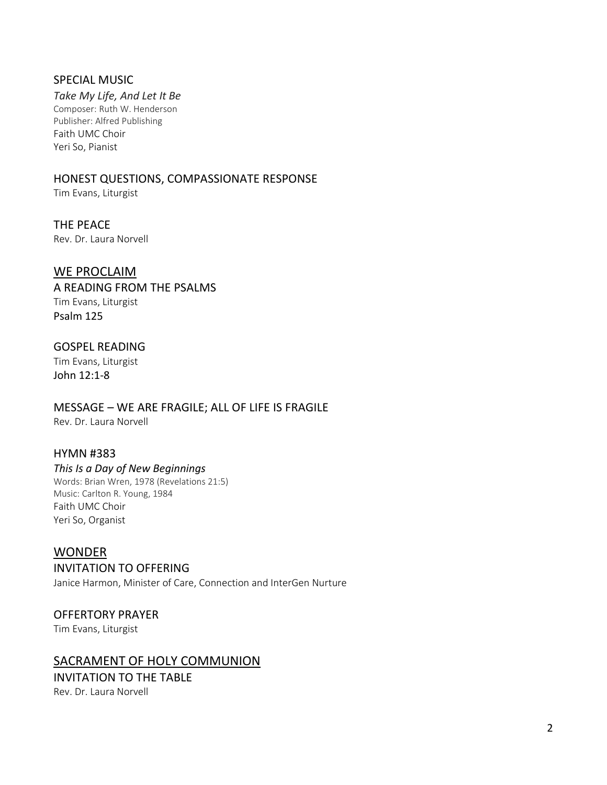#### SPECIAL MUSIC

*Take My Life, And Let It Be* Composer: Ruth W. Henderson Publisher: Alfred Publishing Faith UMC Choir Yeri So, Pianist

# HONEST QUESTIONS, COMPASSIONATE RESPONSE

Tim Evans, Liturgist

THE PEACE Rev. Dr. Laura Norvell

# WE PROCLAIM

A READING FROM THE PSALMS Tim Evans, Liturgist Psalm 125

# GOSPEL READING

Tim Evans, Liturgist John 12:1-8

MESSAGE – WE ARE FRAGILE; ALL OF LIFE IS FRAGILE Rev. Dr. Laura Norvell

## HYMN #383

#### *This Is a Day of New Beginnings*

Words: Brian Wren, 1978 (Revelations 21:5) Music: Carlton R. Young, 1984 Faith UMC Choir Yeri So, Organist

# WONDER

INVITATION TO OFFERING

Janice Harmon, Minister of Care, Connection and InterGen Nurture

## OFFERTORY PRAYER

Tim Evans, Liturgist

# SACRAMENT OF HOLY COMMUNION

INVITATION TO THE TABLE Rev. Dr. Laura Norvell